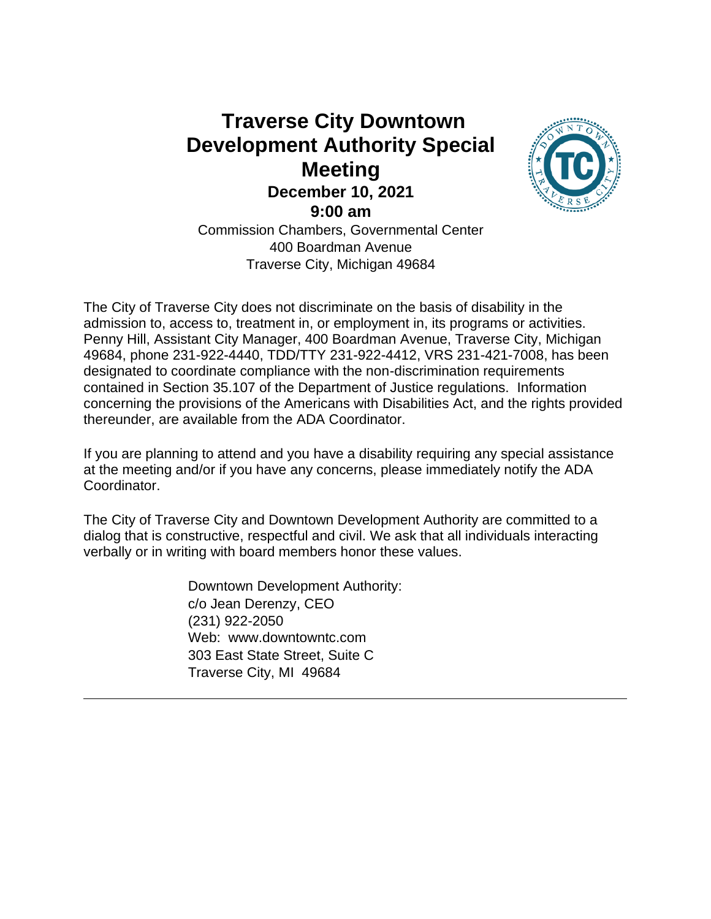# **Traverse City Downtown Development Authority Special Meeting December 10, 2021 9:00 am** Commission Chambers, Governmental Center 400 Boardman Avenue Traverse City, Michigan 49684



The City of Traverse City does not discriminate on the basis of disability in the admission to, access to, treatment in, or employment in, its programs or activities. Penny Hill, Assistant City Manager, 400 Boardman Avenue, Traverse City, Michigan 49684, phone 231-922-4440, TDD/TTY 231-922-4412, VRS 231-421-7008, has been designated to coordinate compliance with the non-discrimination requirements contained in Section 35.107 of the Department of Justice regulations. Information concerning the provisions of the Americans with Disabilities Act, and the rights provided thereunder, are available from the ADA Coordinator.

If you are planning to attend and you have a disability requiring any special assistance at the meeting and/or if you have any concerns, please immediately notify the ADA Coordinator.

The City of Traverse City and Downtown Development Authority are committed to a dialog that is constructive, respectful and civil. We ask that all individuals interacting verbally or in writing with board members honor these values.

> Downtown Development Authority: c/o Jean Derenzy, CEO (231) 922-2050 Web: www.downtowntc.com 303 East State Street, Suite C Traverse City, MI 49684